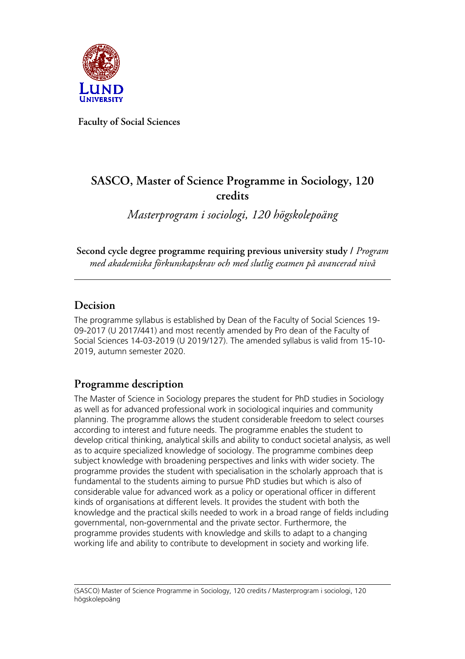

**Faculty of Social Sciences**

# **SASCO, Master of Science Programme in Sociology, 120 credits**

*Masterprogram i sociologi, 120 högskolepoäng*

**Second cycle degree programme requiring previous university study /** *Program med akademiska förkunskapskrav och med slutlig examen på avancerad nivå*

### **Decision**

The programme syllabus is established by Dean of the Faculty of Social Sciences 19- 09-2017 (U 2017/441) and most recently amended by Pro dean of the Faculty of Social Sciences 14-03-2019 (U 2019/127). The amended syllabus is valid from 15-10- 2019, autumn semester 2020.

## **Programme description**

The Master of Science in Sociology prepares the student for PhD studies in Sociology as well as for advanced professional work in sociological inquiries and community planning. The programme allows the student considerable freedom to select courses according to interest and future needs. The programme enables the student to develop critical thinking, analytical skills and ability to conduct societal analysis, as well as to acquire specialized knowledge of sociology. The programme combines deep subject knowledge with broadening perspectives and links with wider society. The programme provides the student with specialisation in the scholarly approach that is fundamental to the students aiming to pursue PhD studies but which is also of considerable value for advanced work as a policy or operational officer in different kinds of organisations at different levels. It provides the student with both the knowledge and the practical skills needed to work in a broad range of fields including governmental, non-governmental and the private sector. Furthermore, the programme provides students with knowledge and skills to adapt to a changing working life and ability to contribute to development in society and working life.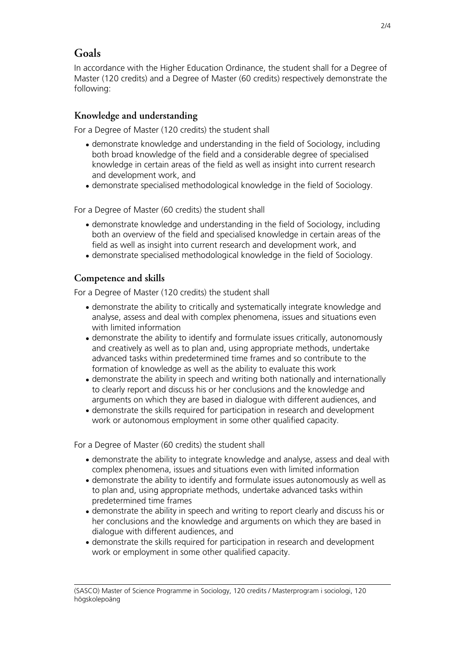## **Goals**

In accordance with the Higher Education Ordinance, the student shall for a Degree of Master (120 credits) and a Degree of Master (60 credits) respectively demonstrate the following:

#### **Knowledge and understanding**

For a Degree of Master (120 credits) the student shall

- demonstrate knowledge and understanding in the field of Sociology, including both broad knowledge of the field and a considerable degree of specialised knowledge in certain areas of the field as well as insight into current research and development work, and
- demonstrate specialised methodological knowledge in the field of Sociology.

For a Degree of Master (60 credits) the student shall

- demonstrate knowledge and understanding in the field of Sociology, including both an overview of the field and specialised knowledge in certain areas of the field as well as insight into current research and development work, and
- demonstrate specialised methodological knowledge in the field of Sociology.

#### **Competence and skills**

For a Degree of Master (120 credits) the student shall

- demonstrate the ability to critically and systematically integrate knowledge and analyse, assess and deal with complex phenomena, issues and situations even with limited information
- demonstrate the ability to identify and formulate issues critically, autonomously and creatively as well as to plan and, using appropriate methods, undertake advanced tasks within predetermined time frames and so contribute to the formation of knowledge as well as the ability to evaluate this work
- demonstrate the ability in speech and writing both nationally and internationally to clearly report and discuss his or her conclusions and the knowledge and arguments on which they are based in dialogue with different audiences, and
- demonstrate the skills required for participation in research and development work or autonomous employment in some other qualified capacity.

For a Degree of Master (60 credits) the student shall

- demonstrate the ability to integrate knowledge and analyse, assess and deal with complex phenomena, issues and situations even with limited information
- demonstrate the ability to identify and formulate issues autonomously as well as to plan and, using appropriate methods, undertake advanced tasks within predetermined time frames
- demonstrate the ability in speech and writing to report clearly and discuss his or her conclusions and the knowledge and arguments on which they are based in dialogue with different audiences, and
- demonstrate the skills required for participation in research and development work or employment in some other qualified capacity.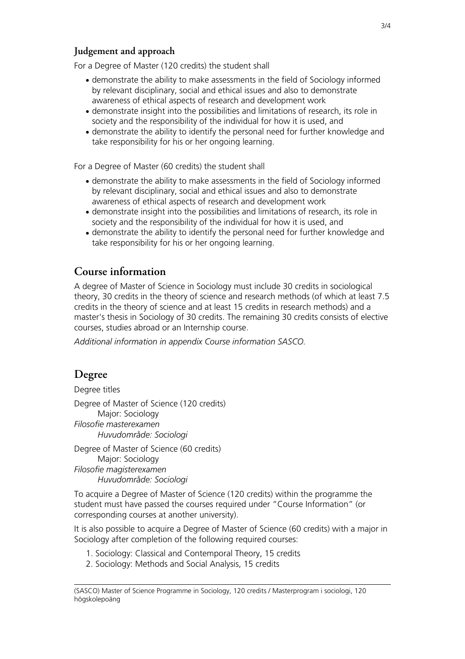#### **Judgement and approach**

For a Degree of Master (120 credits) the student shall

- demonstrate the ability to make assessments in the field of Sociology informed by relevant disciplinary, social and ethical issues and also to demonstrate awareness of ethical aspects of research and development work
- demonstrate insight into the possibilities and limitations of research, its role in society and the responsibility of the individual for how it is used, and
- demonstrate the ability to identify the personal need for further knowledge and take responsibility for his or her ongoing learning.

For a Degree of Master (60 credits) the student shall

- demonstrate the ability to make assessments in the field of Sociology informed by relevant disciplinary, social and ethical issues and also to demonstrate awareness of ethical aspects of research and development work
- demonstrate insight into the possibilities and limitations of research, its role in society and the responsibility of the individual for how it is used, and
- demonstrate the ability to identify the personal need for further knowledge and take responsibility for his or her ongoing learning.

## **Course information**

A degree of Master of Science in Sociology must include 30 credits in sociological theory, 30 credits in the theory of science and research methods (of which at least 7.5 credits in the theory of science and at least 15 credits in research methods) and a master's thesis in Sociology of 30 credits. The remaining 30 credits consists of elective courses, studies abroad or an Internship course.

*Additional information in appendix Course information SASCO.*

# **Degree**

Degree titles

Degree of Master of Science (120 credits) Major: Sociology *Filosofie masterexamen Huvudområde: Sociologi*

Degree of Master of Science (60 credits) Major: Sociology *Filosofie magisterexamen Huvudområde: Sociologi*

To acquire a Degree of Master of Science (120 credits) within the programme the student must have passed the courses required under "Course Information" (or corresponding courses at another university).

It is also possible to acquire a Degree of Master of Science (60 credits) with a major in Sociology after completion of the following required courses:

1. Sociology: Classical and Contemporal Theory, 15 credits

2. Sociology: Methods and Social Analysis, 15 credits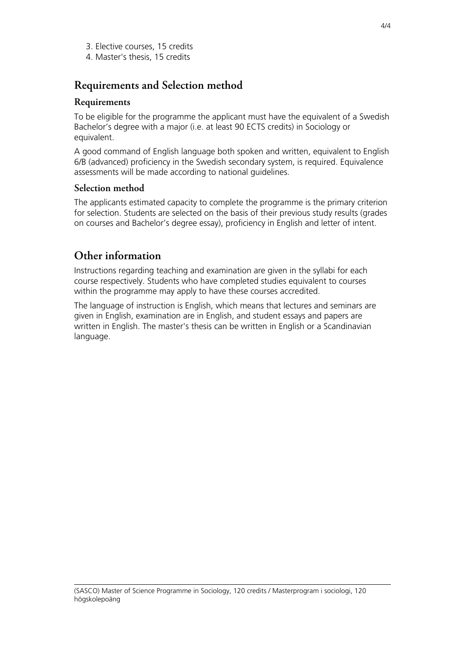- 3. Elective courses, 15 credits
- 4. Master's thesis, 15 credits

## **Requirements and Selection method**

#### **Requirements**

To be eligible for the programme the applicant must have the equivalent of a Swedish Bachelor's degree with a major (i.e. at least 90 ECTS credits) in Sociology or equivalent.

A good command of English language both spoken and written, equivalent to English 6/B (advanced) proficiency in the Swedish secondary system, is required. Equivalence assessments will be made according to national guidelines.

#### **Selection method**

The applicants estimated capacity to complete the programme is the primary criterion for selection. Students are selected on the basis of their previous study results (grades on courses and Bachelor's degree essay), proficiency in English and letter of intent.

## **Other information**

Instructions regarding teaching and examination are given in the syllabi for each course respectively. Students who have completed studies equivalent to courses within the programme may apply to have these courses accredited.

The language of instruction is English, which means that lectures and seminars are given in English, examination are in English, and student essays and papers are written in English. The master's thesis can be written in English or a Scandinavian language.